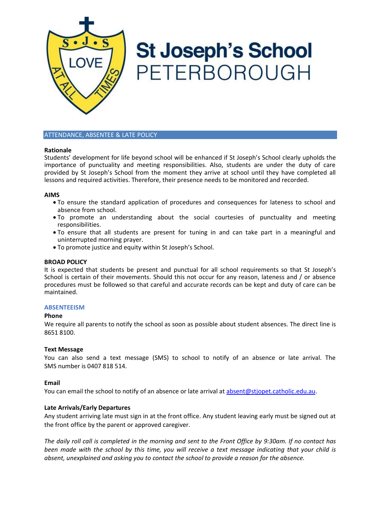

# **St Joseph's School** PETERBOROUGH

## ATTENDANCE, ABSENTEE & LATE POLICY

## **Rationale**

Students' development for life beyond school will be enhanced if St Joseph's School clearly upholds the importance of punctuality and meeting responsibilities. Also, students are under the duty of care provided by St Joseph's School from the moment they arrive at school until they have completed all lessons and required activities. Therefore, their presence needs to be monitored and recorded.

## **AIMS**

- To ensure the standard application of procedures and consequences for lateness to school and absence from school.
- To promote an understanding about the social courtesies of punctuality and meeting responsibilities.
- To ensure that all students are present for tuning in and can take part in a meaningful and uninterrupted morning prayer.
- To promote justice and equity within St Joseph's School.

#### **BROAD POLICY**

It is expected that students be present and punctual for all school requirements so that St Joseph's School is certain of their movements. Should this not occur for any reason, lateness and / or absence procedures must be followed so that careful and accurate records can be kept and duty of care can be maintained.

#### **ABSENTEEISM**

#### **Phone**

We require all parents to notify the school as soon as possible about student absences. The direct line is 8651 8100.

#### **Text Message**

You can also send a text message (SMS) to school to notify of an absence or late arrival. The SMS number is 0407 818 514.

# **Email**

You can email the school to notify of an absence or late arrival at [absent@stjopet.catholic.edu.au.](mailto:absent@stjopet.catholic.edu.au)

# **Late Arrivals/Early Departures**

Any student arriving late must sign in at the front office. Any student leaving early must be signed out at the front office by the parent or approved caregiver.

The daily roll call is completed in the morning and sent to the Front Office by 9:30am. If no contact has been made with the school by this time, you will receive a text message indicating that your child is *absent, unexplained and asking you to contact the school to provide a reason for the absence.*